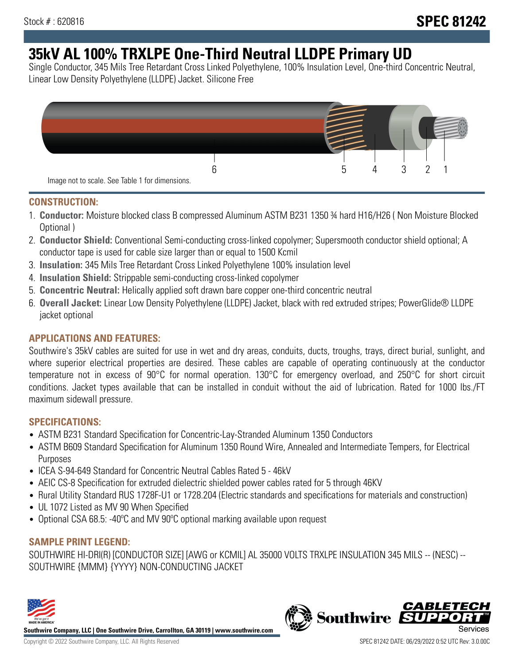## **35kV AL 100% TRXLPE One-Third Neutral LLDPE Primary UD**

Single Conductor, 345 Mils Tree Retardant Cross Linked Polyethylene, 100% Insulation Level, One-third Concentric Neutral, Linear Low Density Polyethylene (LLDPE) Jacket. Silicone Free



#### **CONSTRUCTION:**

- 1. **Conductor:** Moisture blocked class B compressed Aluminum ASTM B231 1350 ¾ hard H16/H26 ( Non Moisture Blocked Optional )
- 2. **Conductor Shield:** Conventional Semi-conducting cross-linked copolymer; Supersmooth conductor shield optional; A conductor tape is used for cable size larger than or equal to 1500 Kcmil
- 3. **Insulation:** 345 Mils Tree Retardant Cross Linked Polyethylene 100% insulation level
- 4. **Insulation Shield:** Strippable semi-conducting cross-linked copolymer
- 5. **Concentric Neutral:** Helically applied soft drawn bare copper one-third concentric neutral
- 6. **Overall Jacket:** Linear Low Density Polyethylene (LLDPE) Jacket, black with red extruded stripes; PowerGlide® LLDPE jacket optional

### **APPLICATIONS AND FEATURES:**

Southwire's 35kV cables are suited for use in wet and dry areas, conduits, ducts, troughs, trays, direct burial, sunlight, and where superior electrical properties are desired. These cables are capable of operating continuously at the conductor temperature not in excess of 90°C for normal operation. 130°C for emergency overload, and 250°C for short circuit conditions. Jacket types available that can be installed in conduit without the aid of lubrication. Rated for 1000 lbs./FT maximum sidewall pressure.

#### **SPECIFICATIONS:**

- ASTM B231 Standard Specification for Concentric-Lay-Stranded Aluminum 1350 Conductors
- ASTM B609 Standard Specification for Aluminum 1350 Round Wire, Annealed and Intermediate Tempers, for Electrical Purposes
- ICEA S-94-649 Standard for Concentric Neutral Cables Rated 5 46kV
- AEIC CS-8 Specification for extruded dielectric shielded power cables rated for 5 through 46KV
- Rural Utility Standard RUS 1728F-U1 or 1728.204 (Electric standards and specifications for materials and construction)
- UL 1072 Listed as MV 90 When Specified
- Optional CSA 68.5: -40ºC and MV 90ºC optional marking available upon request

#### **SAMPLE PRINT LEGEND:**

SOUTHWIRE HI-DRI(R) [CONDUCTOR SIZE] [AWG or KCMIL] AL 35000 VOLTS TRXLPE INSULATION 345 MILS -- (NESC) -- SOUTHWIRE {MMM} {YYYY} NON-CONDUCTING JACKET



**Southwire Company, LLC | One Southwire Drive, Carrollton, GA 30119 | www.southwire.com**

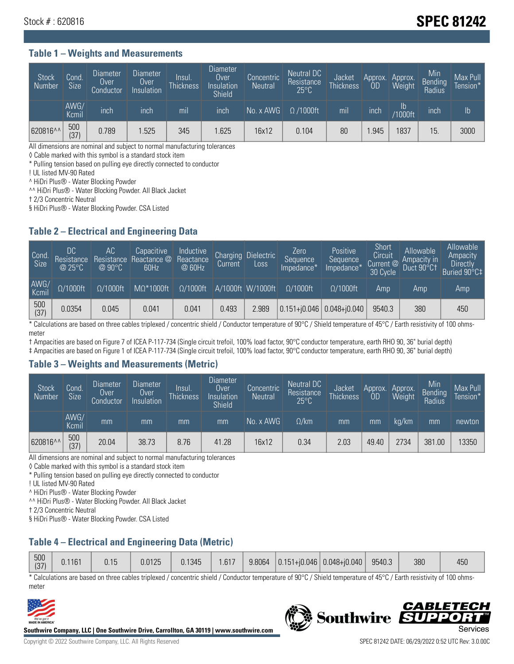# Stock # : 620816 **SPEC 81242**

#### **Table 1 – Weights and Measurements**

| <b>Stock</b><br>Number | Cond.<br>Size | <b>Diameter</b><br>Over<br>Conductor | <b>Diameter</b><br>Over<br>Insulation | Insul.<br><b>Thickness</b> | <b>Diameter</b><br><b>Over</b><br>Insulation<br><b>Shield</b> | Concentric<br><b>Neutral</b> | Neutral DC<br>Resistance<br>$25^{\circ}$ C | Jacket<br><b>Thickness</b> | Approx.<br>0D | Approx.<br>Weight        | Min<br>Bending<br>Radius | Max Pull<br>Tension <sup>*</sup> |
|------------------------|---------------|--------------------------------------|---------------------------------------|----------------------------|---------------------------------------------------------------|------------------------------|--------------------------------------------|----------------------------|---------------|--------------------------|--------------------------|----------------------------------|
|                        | AWG/<br>Kcmil | inch                                 | inch                                  | mil                        | inch                                                          | No. x AWG                    | $\Omega$ /1000ft                           | mil                        | inch          | $\mathsf{lb}$<br>/1000ft | inch                     | Ib                               |
| 620816^^               | 500<br>(37)   | 0.789                                | .525                                  | 345                        | .625                                                          | 16x12                        | 0.104                                      | 80                         | .945          | 1837                     | 15.                      | 3000                             |

All dimensions are nominal and subject to normal manufacturing tolerances

◊ Cable marked with this symbol is a standard stock item

\* Pulling tension based on pulling eye directly connected to conductor

! UL listed MV-90 Rated

^ HiDri Plus® - Water Blocking Powder

^^ HiDri Plus® - Water Blocking Powder. All Black Jacket

† 2/3 Concentric Neutral

§ HiDri Plus® - Water Blocking Powder. CSA Listed

#### **Table 2 – Electrical and Engineering Data**

| Cond.<br>Size      | 'DC.<br>Resistance<br>$@$ 25°C $^{\prime\prime}$ | АC<br>Resistance<br>$\oslash$ 90°C | Capacitive<br>Reactance @<br>60Hz | Inductive<br>Reactance<br>@ 60Hz | <b>Charging</b><br>Current | <b>Dielectric</b><br>Loss | Zero<br>Sequence<br>Impedance* | Positive<br>Sequence<br>Impedance <sup>®</sup> | Short<br>Circuit<br>Current <sup>@</sup><br>30 Cycle | Allowable<br>Ampacity in<br>Duct 90°C1 | Allowable<br>Ampacity<br>Directly<br>Buried 90°C‡ |
|--------------------|--------------------------------------------------|------------------------------------|-----------------------------------|----------------------------------|----------------------------|---------------------------|--------------------------------|------------------------------------------------|------------------------------------------------------|----------------------------------------|---------------------------------------------------|
| AWG/<br>Kcmil      | $\Omega/1000$ ft                                 | $\Omega/1000$ ft                   | $M\Omega^*1000$ ft                | $\Omega/1000$ ft                 |                            | A/1000ft W/1000ft         | $\Omega/1000$ ft               | $\Omega$ /1000ft                               | Amp                                                  | Amp                                    | Amp                                               |
| $\frac{500}{(37)}$ | 0.0354                                           | 0.045                              | 0.041                             | 0.041                            | 0.493                      | 2.989                     |                                | $0.151 + 0.046$ 0.048+0.040                    | 9540.3                                               | 380                                    | 450                                               |

\* Calculations are based on three cables triplexed / concentric shield / Conductor temperature of 90°C / Shield temperature of 45°C / Earth resistivity of 100 ohmsmeter

† Ampacities are based on Figure 7 of ICEA P-117-734 (Single circuit trefoil, 100% load factor, 90°C conductor temperature, earth RHO 90, 36" burial depth)

‡ Ampacities are based on Figure 1 of ICEA P-117-734 (Single circuit trefoil, 100% load factor, 90°C conductor temperature, earth RHO 90, 36" burial depth)

#### **Table 3 – Weights and Measurements (Metric)**

| <b>Stock</b><br>Number | Cond.<br>Size | <b>Diameter</b><br><b>Over</b><br>Conductor | Diameter<br>Over<br>Insulation | Insul.<br><b>Thickness</b> | Diameter<br>Over<br>Insulation<br><b>Shield</b> | Concentric<br><b>Neutral</b> | Neutral DC<br>Resistance<br>$25^{\circ}$ C | Jacket<br><b>Thickness</b> | 0D    | Approx. Approx.<br>Weight | Min<br>Bending | Max Pull<br>Tension* |
|------------------------|---------------|---------------------------------------------|--------------------------------|----------------------------|-------------------------------------------------|------------------------------|--------------------------------------------|----------------------------|-------|---------------------------|----------------|----------------------|
|                        | AWG/<br>Kcmil | mm                                          | mm                             | mm                         | mm                                              | No. x AWG                    | $\Omega$ /km                               | mm                         | mm    | ka/km                     | mm             | newton               |
| 620816^^               | 500<br>(37)   | 20.04                                       | 38.73                          | 8.76                       | 41.28                                           | 16x12                        | 0.34                                       | 2.03                       | 49.40 | 2734                      | 381.00         | 13350                |

All dimensions are nominal and subject to normal manufacturing tolerances

◊ Cable marked with this symbol is a standard stock item

\* Pulling tension based on pulling eye directly connected to conductor

! UL listed MV-90 Rated

^ HiDri Plus® - Water Blocking Powder

^^ HiDri Plus® - Water Blocking Powder. All Black Jacket

† 2/3 Concentric Neutral

§ HiDri Plus® - Water Blocking Powder. CSA Listed

### **Table 4 – Electrical and Engineering Data (Metric)**

| 500<br>127'      | 0.1161 | 0.15 | 0.0125 | 0.1345 | .617 | 9.8064 | $ 0.151 +  0.046 $ | $  0.048 + 0.040  $ | 9540.3 | 380 | 450 |
|------------------|--------|------|--------|--------|------|--------|--------------------|---------------------|--------|-----|-----|
| 151 <sup>r</sup> |        |      |        |        |      |        |                    |                     |        |     |     |

\* Calculations are based on three cables triplexed / concentric shield / Conductor temperature of 90°C / Shield temperature of 45°C / Earth resistivity of 100 ohmsmeter



**Southwire Company, LLC | One Southwire Drive, Carrollton, GA 30119 | www.southwire.com**